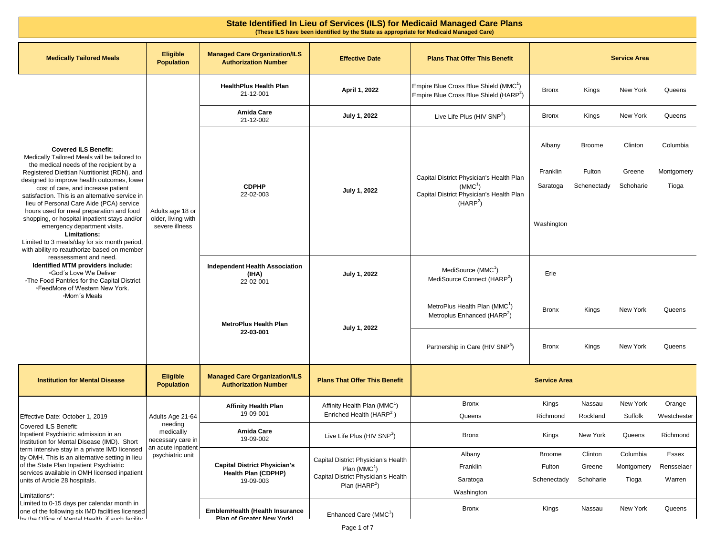| State Identified In Lieu of Services (ILS) for Medicaid Managed Care Plans<br>(These ILS have been identified by the State as appropriate for Medicaid Managed Care)                                                                                                                                                                                                                                                                                                                                                                                                                                                                                                                                            |                                                                                      |                                                                         |                                                                                                                  |                                                                                                                           |                                 |                                |                                 |                               |
|-----------------------------------------------------------------------------------------------------------------------------------------------------------------------------------------------------------------------------------------------------------------------------------------------------------------------------------------------------------------------------------------------------------------------------------------------------------------------------------------------------------------------------------------------------------------------------------------------------------------------------------------------------------------------------------------------------------------|--------------------------------------------------------------------------------------|-------------------------------------------------------------------------|------------------------------------------------------------------------------------------------------------------|---------------------------------------------------------------------------------------------------------------------------|---------------------------------|--------------------------------|---------------------------------|-------------------------------|
| <b>Medically Tailored Meals</b>                                                                                                                                                                                                                                                                                                                                                                                                                                                                                                                                                                                                                                                                                 | <b>Eligible</b><br><b>Population</b>                                                 | <b>Managed Care Organization/ILS</b><br><b>Authorization Number</b>     | <b>Effective Date</b>                                                                                            | <b>Plans That Offer This Benefit</b>                                                                                      |                                 |                                | <b>Service Area</b>             |                               |
|                                                                                                                                                                                                                                                                                                                                                                                                                                                                                                                                                                                                                                                                                                                 | Adults age 18 or<br>older, living with<br>severe illness                             | <b>HealthPlus Health Plan</b><br>21-12-001                              | April 1, 2022                                                                                                    | Empire Blue Cross Blue Shield (MMC <sup>1</sup> )<br>Empire Blue Cross Blue Shield (HARP <sup>2</sup> )                   | <b>Bronx</b>                    | Kings                          | New York                        | Queens                        |
|                                                                                                                                                                                                                                                                                                                                                                                                                                                                                                                                                                                                                                                                                                                 |                                                                                      | Amida Care<br>21-12-002                                                 | July 1, 2022                                                                                                     | Live Life Plus (HIV $SNP3$ )                                                                                              | <b>Bronx</b>                    | Kings                          | New York                        | Queens                        |
| <b>Covered ILS Benefit:</b><br>Medically Tailored Meals will be tailored to                                                                                                                                                                                                                                                                                                                                                                                                                                                                                                                                                                                                                                     |                                                                                      |                                                                         |                                                                                                                  |                                                                                                                           | Albany                          | <b>Broome</b>                  | Clinton                         | Columbia                      |
| the medical needs of the recipient by a<br>Registered Dietitian Nutritionist (RDN), and<br>designed to improve health outcomes, lower<br>cost of care, and increase patient<br>satisfaction. This is an alternative service in<br>lieu of Personal Care Aide (PCA) service<br>hours used for meal preparation and food<br>shopping, or hospital inpatient stays and/or<br>emergency department visits.<br>Limitations:<br>Limited to 3 meals/day for six month period,<br>with ability ro reauthorize based on member<br>reassessment and need.<br>Identified MTM providers include:<br>∘God's Love We Deliver<br>∘The Food Pantries for the Capital District<br>∘FeedMore of Western New York.<br>∘Mom's Meals |                                                                                      | <b>CDPHP</b><br>22-02-003                                               | July 1, 2022                                                                                                     | Capital District Physician's Health Plan<br>$(MMC^1)$<br>Capital District Physician's Health Plan<br>(HARP <sup>2</sup> ) | Franklin<br>Saratoga            | Fulton<br>Schenectady          | Greene<br>Schoharie             | Montgomery<br>Tioga           |
|                                                                                                                                                                                                                                                                                                                                                                                                                                                                                                                                                                                                                                                                                                                 |                                                                                      |                                                                         |                                                                                                                  |                                                                                                                           | Washington                      |                                |                                 |                               |
|                                                                                                                                                                                                                                                                                                                                                                                                                                                                                                                                                                                                                                                                                                                 |                                                                                      | <b>Independent Health Association</b><br>(IHA)<br>22-02-001             | July 1, 2022                                                                                                     | MediSource (MMC <sup>1</sup> )<br>MediSource Connect (HARP <sup>2</sup> )                                                 | Erie                            |                                |                                 |                               |
|                                                                                                                                                                                                                                                                                                                                                                                                                                                                                                                                                                                                                                                                                                                 |                                                                                      | <b>MetroPlus Health Plan</b><br>22-03-001                               | July 1, 2022                                                                                                     | MetroPlus Health Plan (MMC <sup>1</sup> )<br>Metroplus Enhanced (HARP <sup>2</sup> )                                      | <b>Bronx</b>                    | Kings                          | New York                        | Queens                        |
|                                                                                                                                                                                                                                                                                                                                                                                                                                                                                                                                                                                                                                                                                                                 |                                                                                      |                                                                         |                                                                                                                  | Partnership in Care (HIV SNP <sup>3</sup> )                                                                               | <b>Bronx</b>                    | Kings                          | New York                        | Queens                        |
| <b>Institution for Mental Disease</b>                                                                                                                                                                                                                                                                                                                                                                                                                                                                                                                                                                                                                                                                           | <b>Eligible</b><br><b>Population</b>                                                 | <b>Managed Care Organization/ILS</b><br><b>Authorization Number</b>     | <b>Plans That Offer This Benefit</b>                                                                             |                                                                                                                           | <b>Service Area</b>             |                                |                                 |                               |
| Effective Date: October 1, 2019                                                                                                                                                                                                                                                                                                                                                                                                                                                                                                                                                                                                                                                                                 | Adults Age 21-64                                                                     | <b>Affinity Health Plan</b><br>19-09-001                                | Affinity Health Plan (MMC <sup>1</sup> )<br>Enriched Health (HARP <sup>2</sup> )                                 | <b>Bronx</b><br>Queens                                                                                                    | Kings<br>Richmond               | Nassau<br>Rockland             | New York<br>Suffolk             | Orange<br>Westchester         |
| Covered ILS Benefit:<br>Inpatient Psychiatric admission in an<br>Institution for Mental Disease (IMD). Short<br>term intensive stay in a private IMD licensed<br>by OMH. This is an alternative setting in lieu<br>of the State Plan Inpatient Psychiatric<br>services available in OMH licensed inpatient<br>units of Article 28 hospitals.                                                                                                                                                                                                                                                                                                                                                                    | needing<br>medicallly<br>necessary care in<br>an acute inpatient<br>psychiatric unit | Amida Care<br>19-09-002                                                 | Live Life Plus (HIV SNP <sup>3</sup> )                                                                           | <b>Bronx</b>                                                                                                              | Kings                           | New York                       | Queens                          | Richmond                      |
|                                                                                                                                                                                                                                                                                                                                                                                                                                                                                                                                                                                                                                                                                                                 |                                                                                      | <b>Capital District Physician's</b><br>Health Plan (CDPHP)<br>19-09-003 | Capital District Physician's Health<br>Plan $(MMC^1)$<br>Capital District Physician's Health<br>Plan ( $HARP2$ ) | Albany<br>Franklin<br>Saratoga<br>Washington                                                                              | Broome<br>Fulton<br>Schenectady | Clinton<br>Greene<br>Schoharie | Columbia<br>Montgomery<br>Tioga | Essex<br>Rensselaer<br>Warren |
| Limitations*:<br>Limited to 0-15 days per calendar month in<br>one of the following six IMD facilities licensed<br>hu the Office of Mental Health if euch facility                                                                                                                                                                                                                                                                                                                                                                                                                                                                                                                                              |                                                                                      | <b>EmblemHealth (Health Insurance</b><br>Dian of Croator Now Vork)      | Enhanced Care (MMC <sup>1</sup> )                                                                                | <b>Bronx</b>                                                                                                              | Kings                           | Nassau                         | New York                        | Queens                        |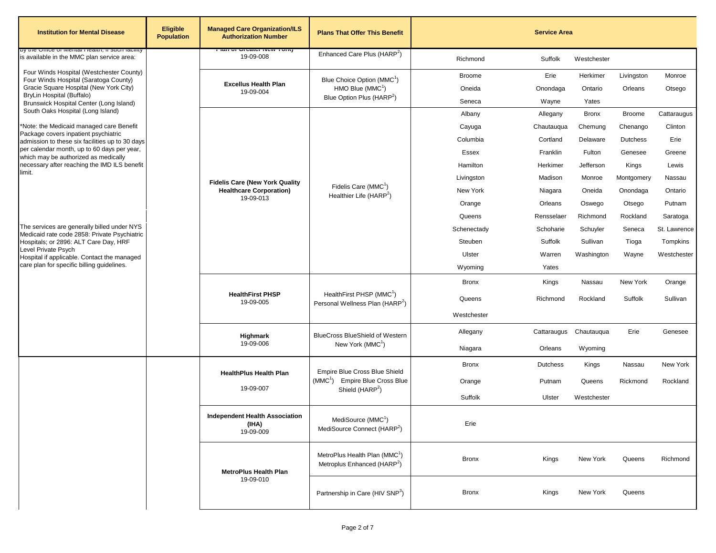| <b>Institution for Mental Disease</b>                                                             | <b>Eligible</b><br><b>Population</b> | <b>Managed Care Organization/ILS</b><br><b>Authorization Number</b> | <b>Plans That Offer This Benefit</b>                                                                       |               | <b>Service Area</b> |              |                 |              |
|---------------------------------------------------------------------------------------------------|--------------------------------------|---------------------------------------------------------------------|------------------------------------------------------------------------------------------------------------|---------------|---------------------|--------------|-----------------|--------------|
| Dy the Office of Ivierital Fleatur, it such racinty<br>is available in the MMC plan service area: |                                      | <b>FIGHT OF OFFICIAL INCWITCHN</b><br>19-09-008                     | Enhanced Care Plus (HARP <sup>2</sup> )                                                                    | Richmond      | Suffolk             | Westchester  |                 |              |
| Four Winds Hospital (Westchester County)<br>Four Winds Hospital (Saratoga County)                 |                                      |                                                                     | Blue Choice Option (MMC <sup>1</sup> )<br>$HMO$ Blue ( $MMC1$ )<br>Blue Option Plus (HARP <sup>2</sup> )   | <b>Broome</b> | Erie                | Herkimer     | Livingston      | Monroe       |
| Gracie Square Hospital (New York City)                                                            |                                      | <b>Excellus Health Plan</b><br>19-09-004                            |                                                                                                            | Oneida        | Onondaga            | Ontario      | Orleans         | Otsego       |
| BryLin Hospital (Buffalo)<br>Brunswick Hospital Center (Long Island)                              |                                      |                                                                     |                                                                                                            | Seneca        | Wayne               | Yates        |                 |              |
| South Oaks Hospital (Long Island)                                                                 |                                      |                                                                     |                                                                                                            | Albany        | Allegany            | <b>Bronx</b> | <b>Broome</b>   | Cattaraugus  |
| *Note: the Medicaid managed care Benefit                                                          |                                      |                                                                     |                                                                                                            | Cayuga        | Chautauqua          | Chemung      | Chenango        | Clinton      |
| Package covers inpatient psychiatric<br>admission to these six facilities up to 30 days           |                                      |                                                                     |                                                                                                            | Columbia      | Cortland            | Delaware     | <b>Dutchess</b> | Erie         |
| per calendar month, up to 60 days per year,<br>which may be authorized as medically               |                                      |                                                                     |                                                                                                            | Essex         | Franklin            | Fulton       | Genesee         | Greene       |
| necessary after reaching the IMD ILS benefit<br>limit.                                            |                                      |                                                                     |                                                                                                            | Hamilton      | Herkimer            | Jefferson    | Kings           | Lewis        |
|                                                                                                   |                                      | <b>Fidelis Care (New York Quality</b>                               | Fidelis Care (MMC <sup>1</sup> )<br>Healthier Life (HARP <sup>2</sup> )                                    | Livingston    | Madison             | Monroe       | Montgomery      | Nassau       |
|                                                                                                   |                                      | <b>Healthcare Corporation)</b>                                      |                                                                                                            | New York      | Niagara             | Oneida       | Onondaga        | Ontario      |
|                                                                                                   |                                      | 19-09-013                                                           |                                                                                                            | Orange        | Orleans             | Oswego       | Otsego          | Putnam       |
|                                                                                                   |                                      |                                                                     |                                                                                                            | Queens        | Rensselaer          | Richmond     | Rockland        | Saratoga     |
| The services are generally billed under NYS<br>Medicaid rate code 2858: Private Psychiatric       |                                      |                                                                     |                                                                                                            | Schenectady   | Schoharie           | Schuyler     | Seneca          | St. Lawrence |
| Hospitals; or 2896: ALT Care Day, HRF<br>Level Private Psych                                      |                                      |                                                                     |                                                                                                            | Steuben       | Suffolk             | Sullivan     | Tioga           | Tompkins     |
| Hospital if applicable. Contact the managed                                                       |                                      |                                                                     |                                                                                                            | Ulster        | Warren              | Washington   | Wayne           | Westchester  |
| care plan for specific billing guidelines.                                                        |                                      |                                                                     |                                                                                                            | Wyoming       | Yates               |              |                 |              |
|                                                                                                   |                                      | <b>HealthFirst PHSP</b><br>19-09-005                                | HealthFirst PHSP (MMC <sup>1</sup> )<br>Personal Wellness Plan (HARP <sup>2</sup> )                        | <b>Bronx</b>  | Kings               | Nassau       | New York        | Orange       |
|                                                                                                   |                                      |                                                                     |                                                                                                            | Queens        | Richmond            | Rockland     | Suffolk         | Sullivan     |
|                                                                                                   |                                      |                                                                     |                                                                                                            | Westchester   |                     |              |                 |              |
|                                                                                                   |                                      | Highmark<br>19-09-006                                               | <b>BlueCross BlueShield of Western</b><br>New York (MMC <sup>1</sup> )                                     | Allegany      | Cattaraugus         | Chautauqua   | Erie            | Genesee      |
|                                                                                                   |                                      |                                                                     |                                                                                                            | Niagara       | Orleans             | Wyoming      |                 |              |
|                                                                                                   |                                      | <b>HealthPlus Health Plan</b><br>19-09-007                          | Empire Blue Cross Blue Shield<br>(MMC <sup>1</sup> ) Empire Blue Cross Blue<br>Shield (HARP <sup>2</sup> ) | <b>Bronx</b>  | Dutchess            | Kings        | Nassau          | New York     |
|                                                                                                   |                                      |                                                                     |                                                                                                            | Orange        | Putnam              | Queens       | Rickmond        | Rockland     |
|                                                                                                   |                                      |                                                                     |                                                                                                            | Suffolk       | Ulster              | Westchester  |                 |              |
|                                                                                                   |                                      | <b>Independent Health Association</b><br>(IHA)<br>19-09-009         | MediSource (MMC <sup>1</sup> )<br>MediSource Connect (HARP <sup>2</sup> )                                  | Erie          |                     |              |                 |              |
|                                                                                                   |                                      | <b>MetroPlus Health Plan</b><br>19-09-010                           | MetroPlus Health Plan (MMC <sup>1</sup> )<br>Metroplus Enhanced (HARP <sup>2</sup> )                       | <b>Bronx</b>  | Kings               | New York     | Queens          | Richmond     |
|                                                                                                   |                                      |                                                                     | Partnership in Care (HIV SNP <sup>3</sup> )                                                                | <b>Bronx</b>  | Kings               | New York     | Queens          |              |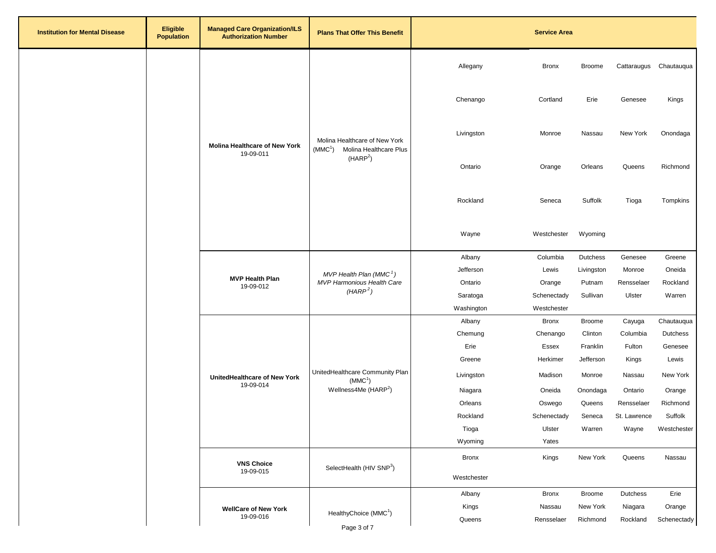| <b>Institution for Mental Disease</b> | Eligible<br>Population | <b>Managed Care Organization/ILS</b><br><b>Authorization Number</b> | <b>Plans That Offer This Benefit</b>                                                                                                                                                                                                                  |              | <b>Service Area</b> |               |                        |                 |
|---------------------------------------|------------------------|---------------------------------------------------------------------|-------------------------------------------------------------------------------------------------------------------------------------------------------------------------------------------------------------------------------------------------------|--------------|---------------------|---------------|------------------------|-----------------|
|                                       |                        |                                                                     | Allegany<br><b>Bronx</b><br>Cortland<br>Chenango<br>Livingston<br>Monroe<br>Molina Healthcare of New York<br>(MMC <sup>1</sup> )<br>Molina Healthcare Plus<br>(HARP <sup>2</sup> )<br>Ontario<br>Orange<br>Rockland<br>Seneca<br>Wayne<br>Westchester |              |                     | <b>Broome</b> | Cattaraugus Chautauqua |                 |
|                                       |                        | <b>Molina Healthcare of New York</b><br>19-09-011                   |                                                                                                                                                                                                                                                       |              |                     | Erie          | Genesee                | Kings           |
|                                       |                        |                                                                     |                                                                                                                                                                                                                                                       |              |                     | Nassau        | New York               | Onondaga        |
|                                       |                        |                                                                     |                                                                                                                                                                                                                                                       | Orleans      | Queens              | Richmond      |                        |                 |
|                                       |                        |                                                                     |                                                                                                                                                                                                                                                       |              |                     | Suffolk       | Tioga                  | Tompkins        |
|                                       |                        |                                                                     |                                                                                                                                                                                                                                                       |              |                     | Wyoming       |                        |                 |
|                                       |                        | <b>MVP Health Plan</b><br>19-09-012                                 | $MVP$ Health Plan (MMC $1$ )<br><b>MVP Harmonious Health Care</b><br>(HARP <sup>2</sup> )                                                                                                                                                             | Albany       | Columbia            | Dutchess      | Genesee                | Greene          |
|                                       |                        |                                                                     |                                                                                                                                                                                                                                                       | Jefferson    | Lewis               | Livingston    | Monroe                 | Oneida          |
|                                       |                        |                                                                     |                                                                                                                                                                                                                                                       | Ontario      | Orange              | Putnam        | Rensselaer             | Rockland        |
|                                       |                        |                                                                     |                                                                                                                                                                                                                                                       | Saratoga     | Schenectady         | Sullivan      | Ulster                 | Warren          |
|                                       |                        |                                                                     |                                                                                                                                                                                                                                                       | Washington   | Westchester         |               |                        |                 |
|                                       |                        |                                                                     | UnitedHealthcare Community Plan<br>(MMC <sup>1</sup> )                                                                                                                                                                                                | Albany       | <b>Bronx</b>        | <b>Broome</b> | Cayuga                 | Chautauqua      |
|                                       |                        | UnitedHealthcare of New York<br>19-09-014                           |                                                                                                                                                                                                                                                       | Chemung      | Chenango            | Clinton       | Columbia               | <b>Dutchess</b> |
|                                       |                        |                                                                     |                                                                                                                                                                                                                                                       | Erie         | Essex               | Franklin      | Fulton                 | Genesee         |
|                                       |                        |                                                                     |                                                                                                                                                                                                                                                       | Greene       | Herkimer            | Jefferson     | Kings                  | Lewis           |
|                                       |                        |                                                                     |                                                                                                                                                                                                                                                       | Livingston   | Madison             | Monroe        | Nassau                 | New York        |
|                                       |                        | Wellness4Me (HARP <sup>2</sup> )                                    | Niagara                                                                                                                                                                                                                                               | Oneida       | Onondaga            | Ontario       | Orange                 |                 |
|                                       |                        |                                                                     | Orleans                                                                                                                                                                                                                                               | Oswego       | Queens              | Rensselaer    | Richmond               |                 |
|                                       |                        |                                                                     |                                                                                                                                                                                                                                                       | Rockland     | Schenectady         | Seneca        | St. Lawrence           | Suffolk         |
|                                       |                        |                                                                     |                                                                                                                                                                                                                                                       | Tioga        | Ulster              | Warren        | Wayne                  | Westchester     |
|                                       |                        |                                                                     |                                                                                                                                                                                                                                                       | Wyoming      | Yates               |               |                        |                 |
|                                       |                        | <b>VNS Choice</b>                                                   | SelectHealth (HIV SNP <sup>3</sup> )                                                                                                                                                                                                                  | <b>Bronx</b> | Kings               | New York      | Queens                 | Nassau          |
|                                       |                        | 19-09-015                                                           |                                                                                                                                                                                                                                                       | Westchester  |                     |               |                        |                 |
|                                       |                        | <b>WellCare of New York</b>                                         | HealthyChoice (MMC <sup>1</sup> )                                                                                                                                                                                                                     | Albany       | <b>Bronx</b>        | <b>Broome</b> | Dutchess               | Erie            |
|                                       |                        |                                                                     |                                                                                                                                                                                                                                                       | Kings        | Nassau              | New York      | Niagara                | Orange          |
|                                       |                        | 19-09-016                                                           |                                                                                                                                                                                                                                                       | Queens       | Rensselaer          | Richmond      | Rockland               | Schenectady     |
|                                       |                        |                                                                     | Page 3 of 7                                                                                                                                                                                                                                           |              |                     |               |                        |                 |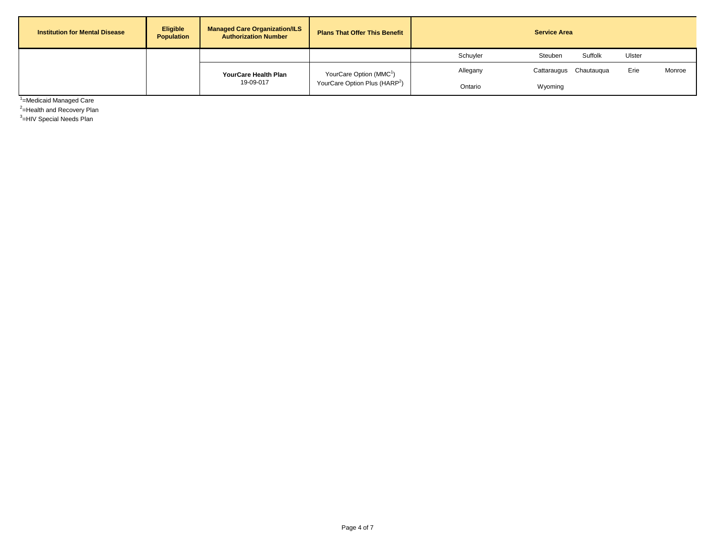| <b>Institution for Mental Disease</b> | <b>Eligible</b><br><b>Population</b> | <b>Managed Care Organization/ILS</b><br><b>Authorization Number</b> | Plans That Offer This Benefit                                                    | <b>Service Area</b> |         |                        |        |        |
|---------------------------------------|--------------------------------------|---------------------------------------------------------------------|----------------------------------------------------------------------------------|---------------------|---------|------------------------|--------|--------|
|                                       |                                      |                                                                     |                                                                                  | Schuyler            | Steuben | Suffolk                | Ulster |        |
|                                       |                                      | YourCare Health Plan<br>19-09-017                                   | YourCare Option (MMC <sup>1</sup> )<br>YourCare Option Plus (HARP <sup>2</sup> ) | Allegany            |         | Cattaraugus Chautauqua | Erie   | Monroe |
|                                       |                                      |                                                                     |                                                                                  | Ontario             | Wyoming |                        |        |        |

<sup>1</sup>=Medicaid Managed Care

<sup>2</sup>=Health and Recovery Plan

<sup>3</sup>=HIV Special Needs Plan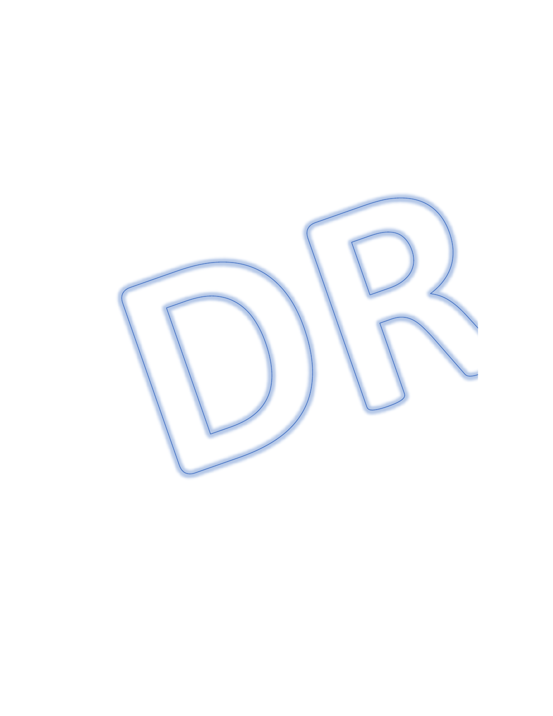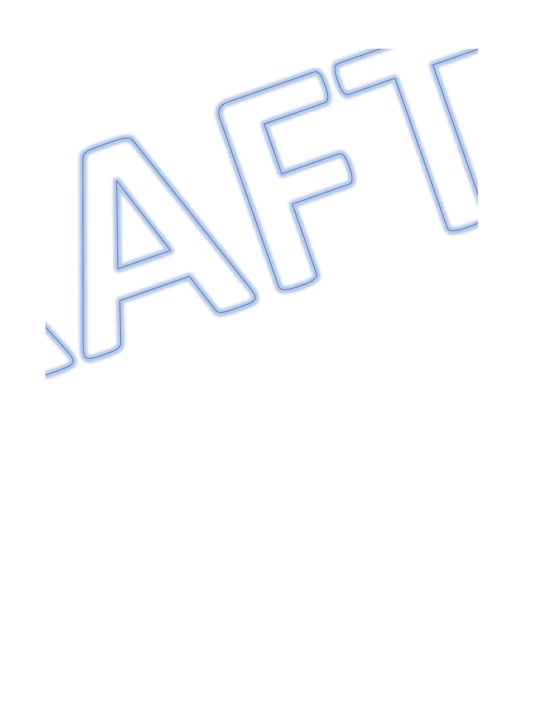